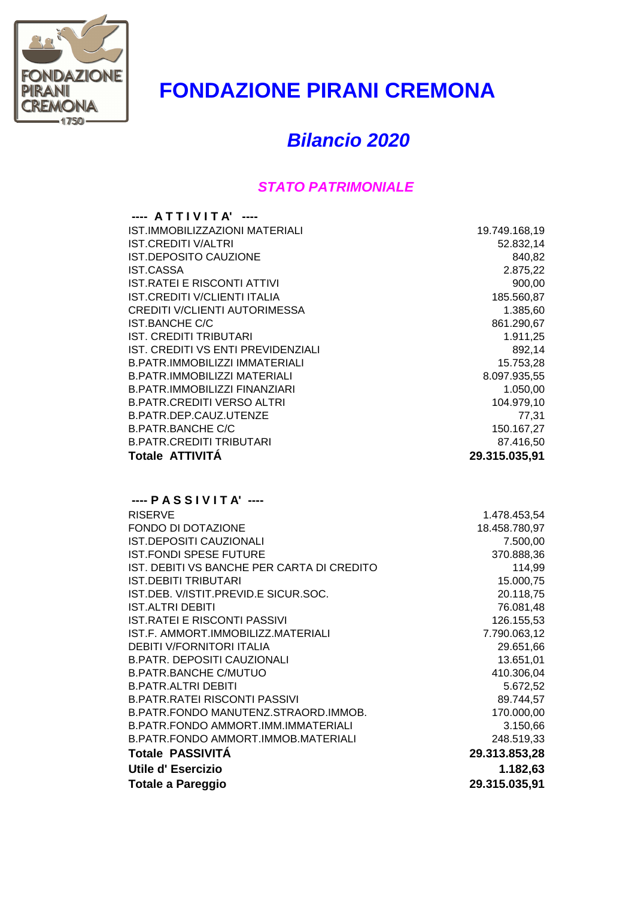

## **FONDAZIONE PIRANI CREMONA**

## *Bilancio 2020*

## *STATO PATRIMONIALE*

| $---$ ATTIVITA' $---$               |               |
|-------------------------------------|---------------|
| IST.IMMOBILIZZAZIONI MATERIALI      | 19.749.168,19 |
| IST.CREDITI V/ALTRI                 | 52.832,14     |
| <b>IST.DEPOSITO CAUZIONE</b>        | 840,82        |
| IST.CASSA                           | 2.875,22      |
| <b>IST.RATEI E RISCONTI ATTIVI</b>  | 900,00        |
| <b>IST.CREDITI V/CLIENTI ITALIA</b> | 185.560,87    |
| CREDITI V/CLIENTI AUTORIMESSA       | 1.385,60      |
| IST.BANCHE C/C                      | 861.290,67    |
| IST. CREDITI TRIBUTARI              | 1.911,25      |
| IST. CREDITI VS ENTI PREVIDENZIALI  | 892,14        |
| B.PATR.IMMOBILIZZI IMMATERIALI      | 15.753,28     |
| B.PATR.IMMOBILIZZI MATERIALI        | 8.097.935,55  |
| B.PATR.IMMOBILIZZI FINANZIARI       | 1.050,00      |
| B.PATR.CREDITI VERSO ALTRI          | 104.979,10    |
| B.PATR.DEP.CAUZ.UTENZE              | 77,31         |
| <b>B.PATR.BANCHE C/C</b>            | 150.167,27    |
| <b>B.PATR.CREDITI TRIBUTARI</b>     | 87.416,50     |
| Totale ATTIVITA                     | 29.315.035,91 |
|                                     |               |

| $---$ PASSIVITA' $---$                     |               |
|--------------------------------------------|---------------|
| <b>RISERVE</b>                             | 1.478.453,54  |
| FONDO DI DOTAZIONE                         | 18.458.780,97 |
| IST.DEPOSITI CAUZIONALI                    | 7.500,00      |
| <b>IST.FONDI SPESE FUTURE</b>              | 370.888,36    |
| IST. DEBITI VS BANCHE PER CARTA DI CREDITO | 114,99        |
| IST.DEBITI TRIBUTARI                       | 15.000,75     |
| IST.DEB. V/ISTIT.PREVID.E SICUR.SOC.       | 20.118,75     |
| <b>IST.ALTRI DEBITI</b>                    | 76.081,48     |
| IST.RATEI E RISCONTI PASSIVI               | 126.155,53    |
| IST.F. AMMORT.IMMOBILIZZ.MATERIALI         | 7.790.063,12  |
| <b>DEBITI V/FORNITORI ITALIA</b>           | 29.651,66     |
| <b>B.PATR. DEPOSITI CAUZIONALI</b>         | 13.651,01     |
| <b>B.PATR.BANCHE C/MUTUO</b>               | 410.306,04    |
| <b>B.PATR.ALTRI DEBITI</b>                 | 5.672,52      |
| B.PATR.RATEI RISCONTI PASSIVI              | 89.744,57     |
| B.PATR.FONDO MANUTENZ.STRAORD.IMMOB.       | 170.000,00    |
| B.PATR.FONDO AMMORT.IMM.IMMATERIALI        | 3.150,66      |
| B.PATR.FONDO AMMORT.IMMOB.MATERIALI        | 248.519,33    |
| <b>Totale PASSIVITÀ</b>                    | 29.313.853,28 |
| Utile d'Esercizio                          | 1.182,63      |
| Totale a Pareggio                          | 29.315.035,91 |